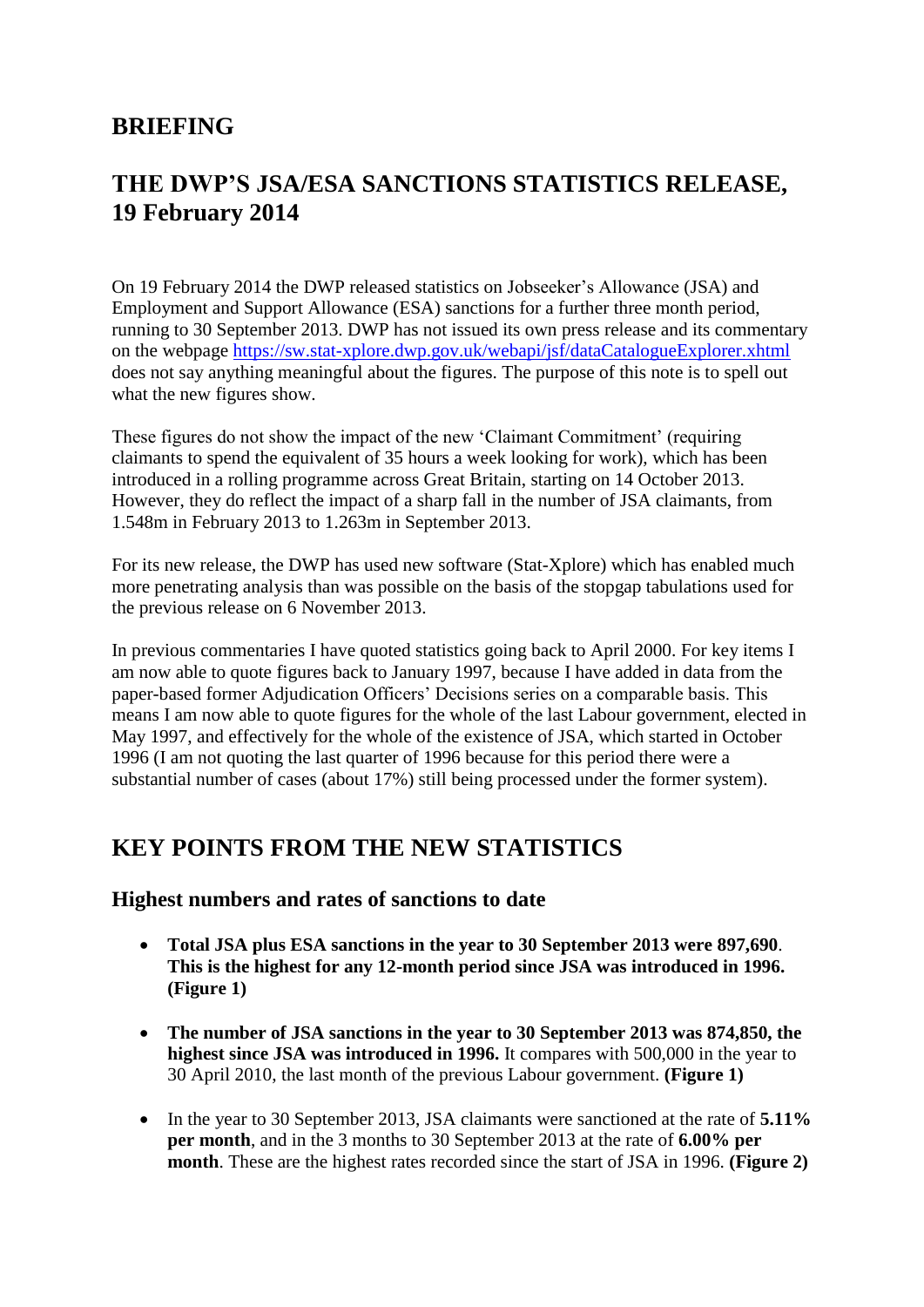## **BRIEFING**

# **THE DWP'S JSA/ESA SANCTIONS STATISTICS RELEASE, 19 February 2014**

On 19 February 2014 the DWP released statistics on Jobseeker's Allowance (JSA) and Employment and Support Allowance (ESA) sanctions for a further three month period, running to 30 September 2013. DWP has not issued its own press release and its commentary on the webpage<https://sw.stat-xplore.dwp.gov.uk/webapi/jsf/dataCatalogueExplorer.xhtml> does not say anything meaningful about the figures. The purpose of this note is to spell out what the new figures show.

These figures do not show the impact of the new 'Claimant Commitment' (requiring claimants to spend the equivalent of 35 hours a week looking for work), which has been introduced in a rolling programme across Great Britain, starting on 14 October 2013. However, they do reflect the impact of a sharp fall in the number of JSA claimants, from 1.548m in February 2013 to 1.263m in September 2013.

For its new release, the DWP has used new software (Stat-Xplore) which has enabled much more penetrating analysis than was possible on the basis of the stopgap tabulations used for the previous release on 6 November 2013.

In previous commentaries I have quoted statistics going back to April 2000. For key items I am now able to quote figures back to January 1997, because I have added in data from the paper-based former Adjudication Officers' Decisions series on a comparable basis. This means I am now able to quote figures for the whole of the last Labour government, elected in May 1997, and effectively for the whole of the existence of JSA, which started in October 1996 (I am not quoting the last quarter of 1996 because for this period there were a substantial number of cases (about 17%) still being processed under the former system).

## **KEY POINTS FROM THE NEW STATISTICS**

#### **Highest numbers and rates of sanctions to date**

- **Total JSA plus ESA sanctions in the year to 30 September 2013 were 897,690**. **This is the highest for any 12-month period since JSA was introduced in 1996. (Figure 1)**
- **The number of JSA sanctions in the year to 30 September 2013 was 874,850, the highest since JSA was introduced in 1996.** It compares with 500,000 in the year to 30 April 2010, the last month of the previous Labour government. **(Figure 1)**
- In the year to 30 September 2013, JSA claimants were sanctioned at the rate of **5.11% per month**, and in the 3 months to 30 September 2013 at the rate of **6.00% per month**. These are the highest rates recorded since the start of JSA in 1996. **(Figure 2)**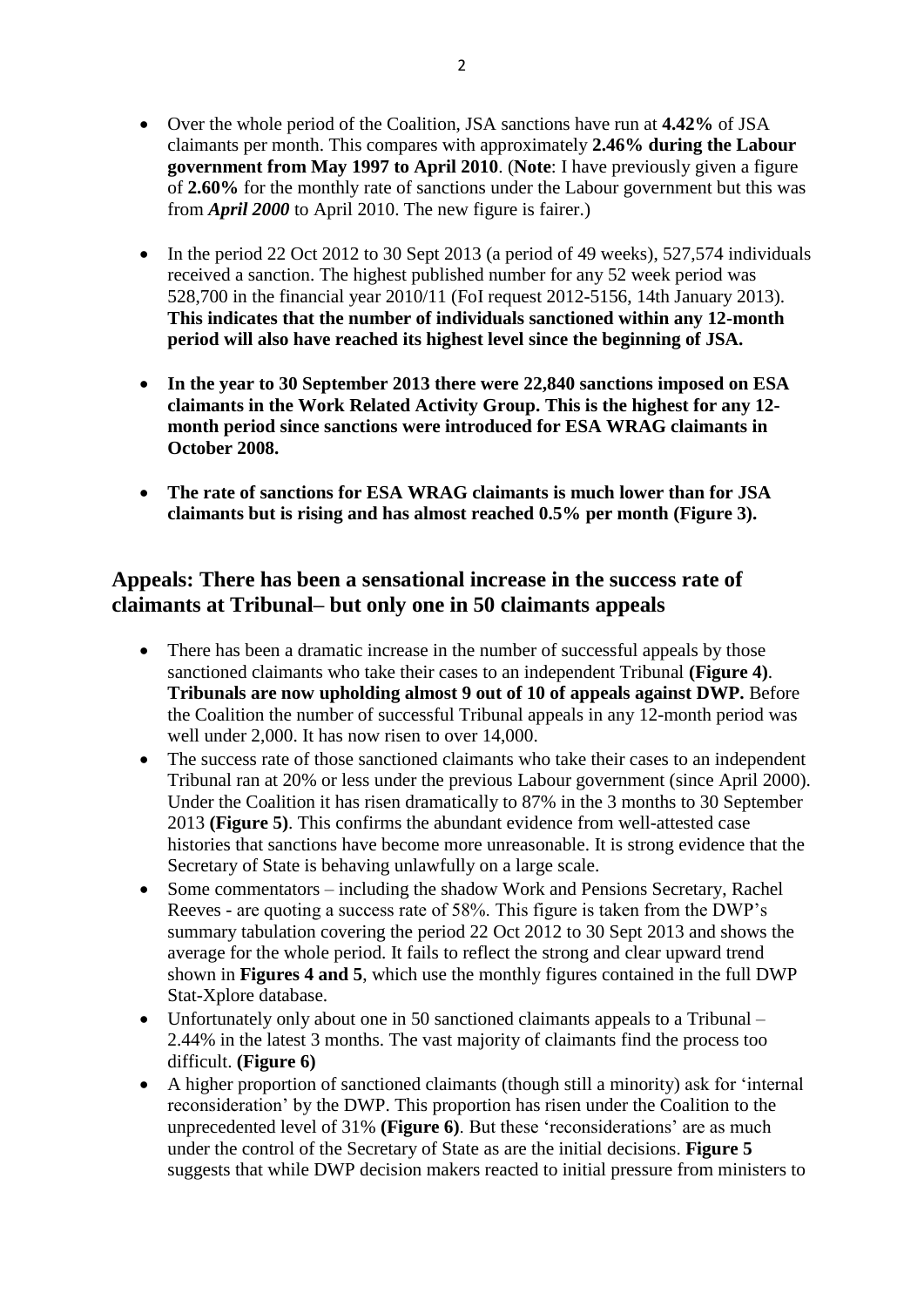- Over the whole period of the Coalition, JSA sanctions have run at **4.42%** of JSA claimants per month. This compares with approximately **2.46% during the Labour government from May 1997 to April 2010**. (**Note**: I have previously given a figure of **2.60%** for the monthly rate of sanctions under the Labour government but this was from *April 2000* to April 2010. The new figure is fairer.)
- $\bullet$  In the period 22 Oct 2012 to 30 Sept 2013 (a period of 49 weeks), 527,574 individuals received a sanction. The highest published number for any 52 week period was 528,700 in the financial year 2010/11 (FoI request 2012-5156, 14th January 2013). **This indicates that the number of individuals sanctioned within any 12-month period will also have reached its highest level since the beginning of JSA.**
- **In the year to 30 September 2013 there were 22,840 sanctions imposed on ESA claimants in the Work Related Activity Group. This is the highest for any 12 month period since sanctions were introduced for ESA WRAG claimants in October 2008.**
- **The rate of sanctions for ESA WRAG claimants is much lower than for JSA claimants but is rising and has almost reached 0.5% per month (Figure 3).**

#### **Appeals: There has been a sensational increase in the success rate of claimants at Tribunal– but only one in 50 claimants appeals**

- There has been a dramatic increase in the number of successful appeals by those sanctioned claimants who take their cases to an independent Tribunal **(Figure 4)**. **Tribunals are now upholding almost 9 out of 10 of appeals against DWP.** Before the Coalition the number of successful Tribunal appeals in any 12-month period was well under 2,000. It has now risen to over 14,000.
- The success rate of those sanctioned claimants who take their cases to an independent Tribunal ran at 20% or less under the previous Labour government (since April 2000). Under the Coalition it has risen dramatically to 87% in the 3 months to 30 September 2013 **(Figure 5)**. This confirms the abundant evidence from well-attested case histories that sanctions have become more unreasonable. It is strong evidence that the Secretary of State is behaving unlawfully on a large scale.
- Some commentators including the shadow Work and Pensions Secretary, Rachel Reeves - are quoting a success rate of 58%. This figure is taken from the DWP's summary tabulation covering the period 22 Oct 2012 to 30 Sept 2013 and shows the average for the whole period. It fails to reflect the strong and clear upward trend shown in **Figures 4 and 5**, which use the monthly figures contained in the full DWP Stat-Xplore database.
- Unfortunately only about one in 50 sanctioned claimants appeals to a Tribunal 2.44% in the latest 3 months. The vast majority of claimants find the process too difficult. **(Figure 6)**
- A higher proportion of sanctioned claimants (though still a minority) ask for 'internal reconsideration' by the DWP. This proportion has risen under the Coalition to the unprecedented level of 31% **(Figure 6)**. But these 'reconsiderations' are as much under the control of the Secretary of State as are the initial decisions. **Figure 5** suggests that while DWP decision makers reacted to initial pressure from ministers to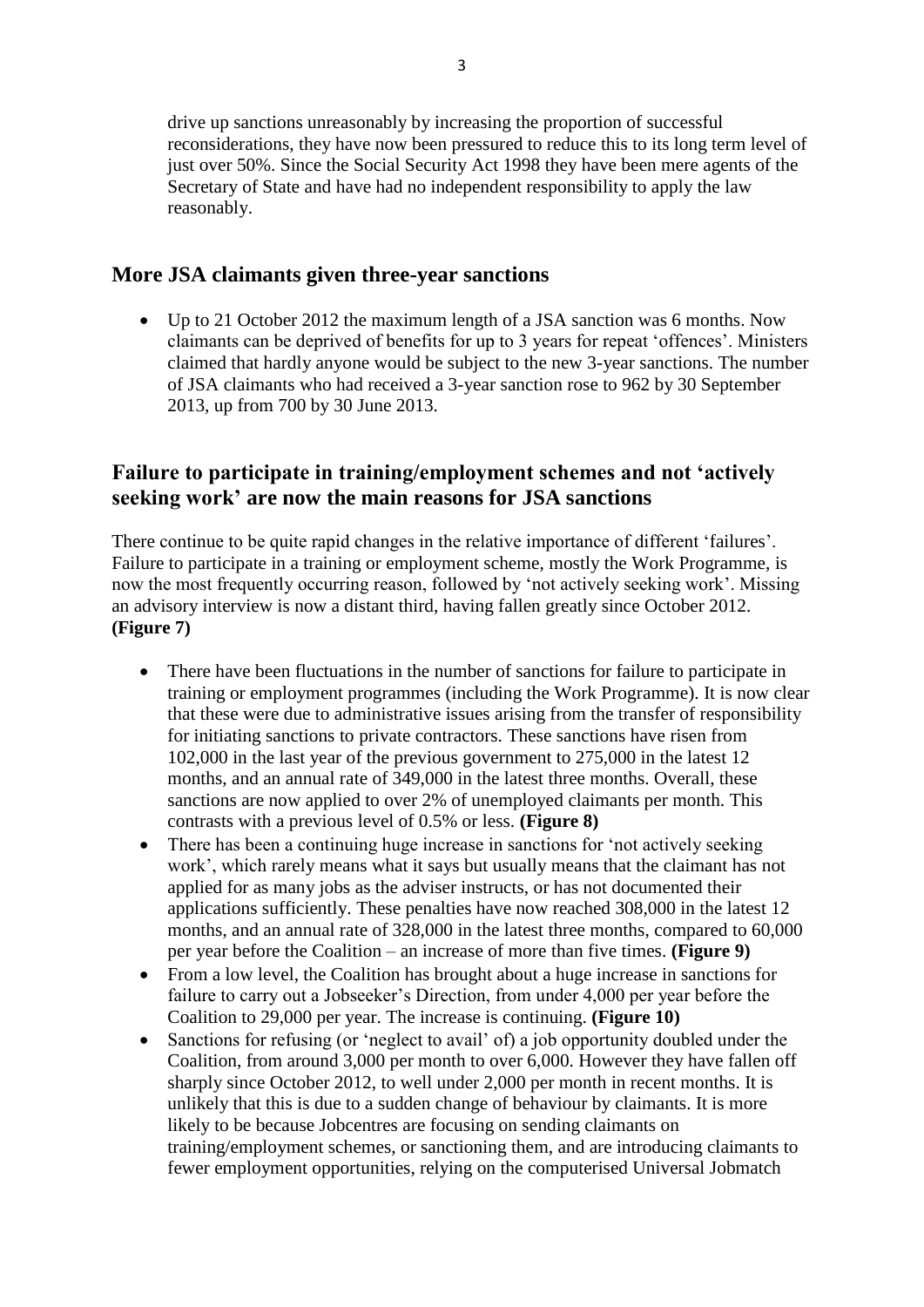drive up sanctions unreasonably by increasing the proportion of successful reconsiderations, they have now been pressured to reduce this to its long term level of just over 50%. Since the Social Security Act 1998 they have been mere agents of the Secretary of State and have had no independent responsibility to apply the law reasonably.

#### **More JSA claimants given three-year sanctions**

 Up to 21 October 2012 the maximum length of a JSA sanction was 6 months. Now claimants can be deprived of benefits for up to 3 years for repeat 'offences'. Ministers claimed that hardly anyone would be subject to the new 3-year sanctions. The number of JSA claimants who had received a 3-year sanction rose to 962 by 30 September 2013, up from 700 by 30 June 2013.

#### **Failure to participate in training/employment schemes and not 'actively seeking work' are now the main reasons for JSA sanctions**

There continue to be quite rapid changes in the relative importance of different 'failures'. Failure to participate in a training or employment scheme, mostly the Work Programme, is now the most frequently occurring reason, followed by 'not actively seeking work'. Missing an advisory interview is now a distant third, having fallen greatly since October 2012. **(Figure 7)**

- There have been fluctuations in the number of sanctions for failure to participate in training or employment programmes (including the Work Programme). It is now clear that these were due to administrative issues arising from the transfer of responsibility for initiating sanctions to private contractors. These sanctions have risen from 102,000 in the last year of the previous government to 275,000 in the latest 12 months, and an annual rate of 349,000 in the latest three months. Overall, these sanctions are now applied to over 2% of unemployed claimants per month. This contrasts with a previous level of 0.5% or less. **(Figure 8)**
- There has been a continuing huge increase in sanctions for 'not actively seeking work', which rarely means what it says but usually means that the claimant has not applied for as many jobs as the adviser instructs, or has not documented their applications sufficiently. These penalties have now reached 308,000 in the latest 12 months, and an annual rate of 328,000 in the latest three months, compared to 60,000 per year before the Coalition – an increase of more than five times. **(Figure 9)**
- From a low level, the Coalition has brought about a huge increase in sanctions for failure to carry out a Jobseeker's Direction, from under 4,000 per year before the Coalition to 29,000 per year. The increase is continuing. **(Figure 10)**
- Sanctions for refusing (or 'neglect to avail' of) a job opportunity doubled under the Coalition, from around 3,000 per month to over 6,000. However they have fallen off sharply since October 2012, to well under 2,000 per month in recent months. It is unlikely that this is due to a sudden change of behaviour by claimants. It is more likely to be because Jobcentres are focusing on sending claimants on training/employment schemes, or sanctioning them, and are introducing claimants to fewer employment opportunities, relying on the computerised Universal Jobmatch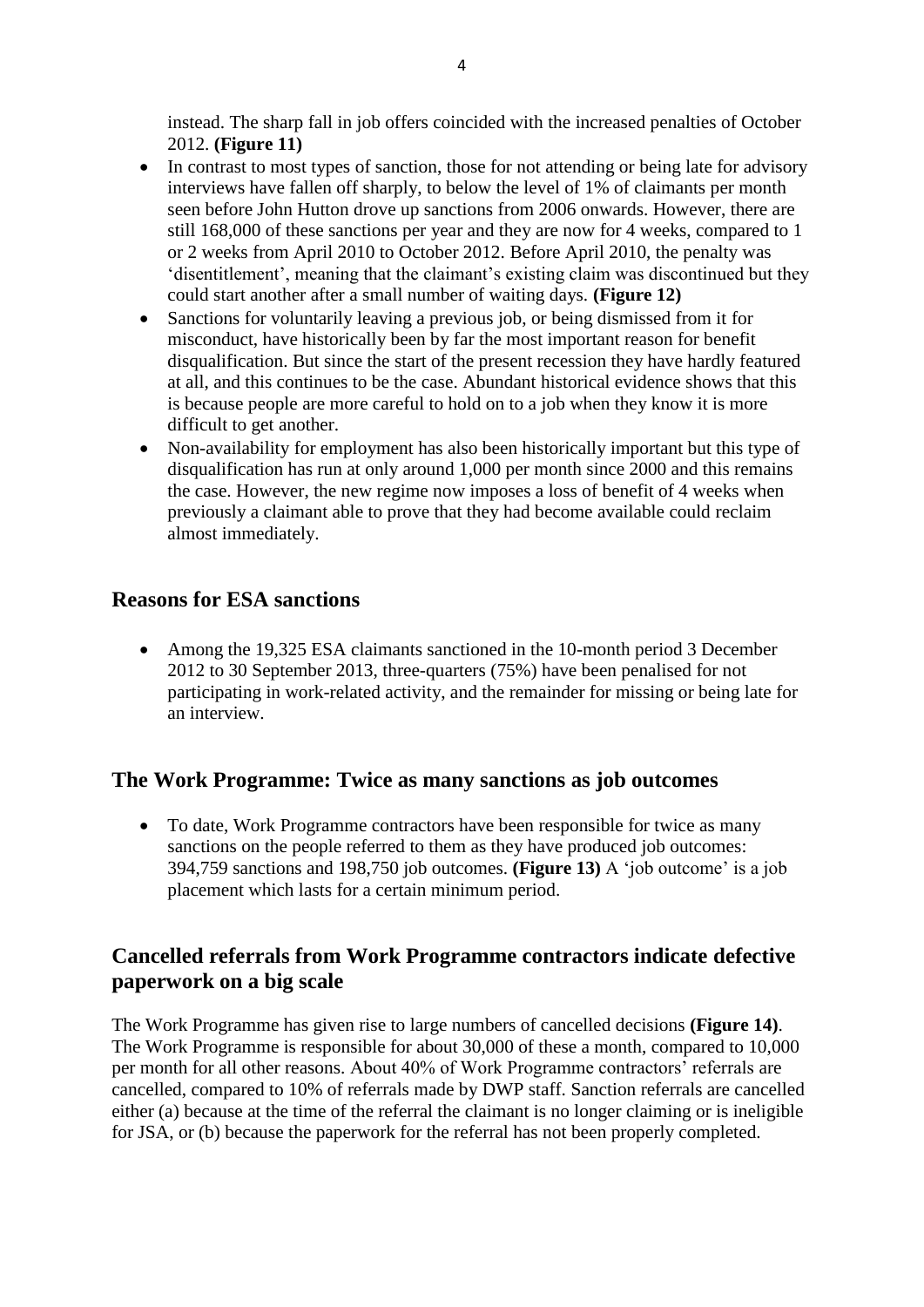instead. The sharp fall in job offers coincided with the increased penalties of October 2012. **(Figure 11)**

- In contrast to most types of sanction, those for not attending or being late for advisory interviews have fallen off sharply, to below the level of 1% of claimants per month seen before John Hutton drove up sanctions from 2006 onwards. However, there are still 168,000 of these sanctions per year and they are now for 4 weeks, compared to 1 or 2 weeks from April 2010 to October 2012. Before April 2010, the penalty was 'disentitlement', meaning that the claimant's existing claim was discontinued but they could start another after a small number of waiting days. **(Figure 12)**
- Sanctions for voluntarily leaving a previous job, or being dismissed from it for misconduct, have historically been by far the most important reason for benefit disqualification. But since the start of the present recession they have hardly featured at all, and this continues to be the case. Abundant historical evidence shows that this is because people are more careful to hold on to a job when they know it is more difficult to get another.
- Non-availability for employment has also been historically important but this type of disqualification has run at only around 1,000 per month since 2000 and this remains the case. However, the new regime now imposes a loss of benefit of 4 weeks when previously a claimant able to prove that they had become available could reclaim almost immediately.

#### **Reasons for ESA sanctions**

• Among the 19,325 ESA claimants sanctioned in the 10-month period 3 December 2012 to 30 September 2013, three-quarters (75%) have been penalised for not participating in work-related activity, and the remainder for missing or being late for an interview.

#### **The Work Programme: Twice as many sanctions as job outcomes**

• To date, Work Programme contractors have been responsible for twice as many sanctions on the people referred to them as they have produced job outcomes: 394,759 sanctions and 198,750 job outcomes. **(Figure 13)** A 'job outcome' is a job placement which lasts for a certain minimum period.

#### **Cancelled referrals from Work Programme contractors indicate defective paperwork on a big scale**

The Work Programme has given rise to large numbers of cancelled decisions **(Figure 14)**. The Work Programme is responsible for about 30,000 of these a month, compared to 10,000 per month for all other reasons. About 40% of Work Programme contractors' referrals are cancelled, compared to 10% of referrals made by DWP staff. Sanction referrals are cancelled either (a) because at the time of the referral the claimant is no longer claiming or is ineligible for JSA, or (b) because the paperwork for the referral has not been properly completed.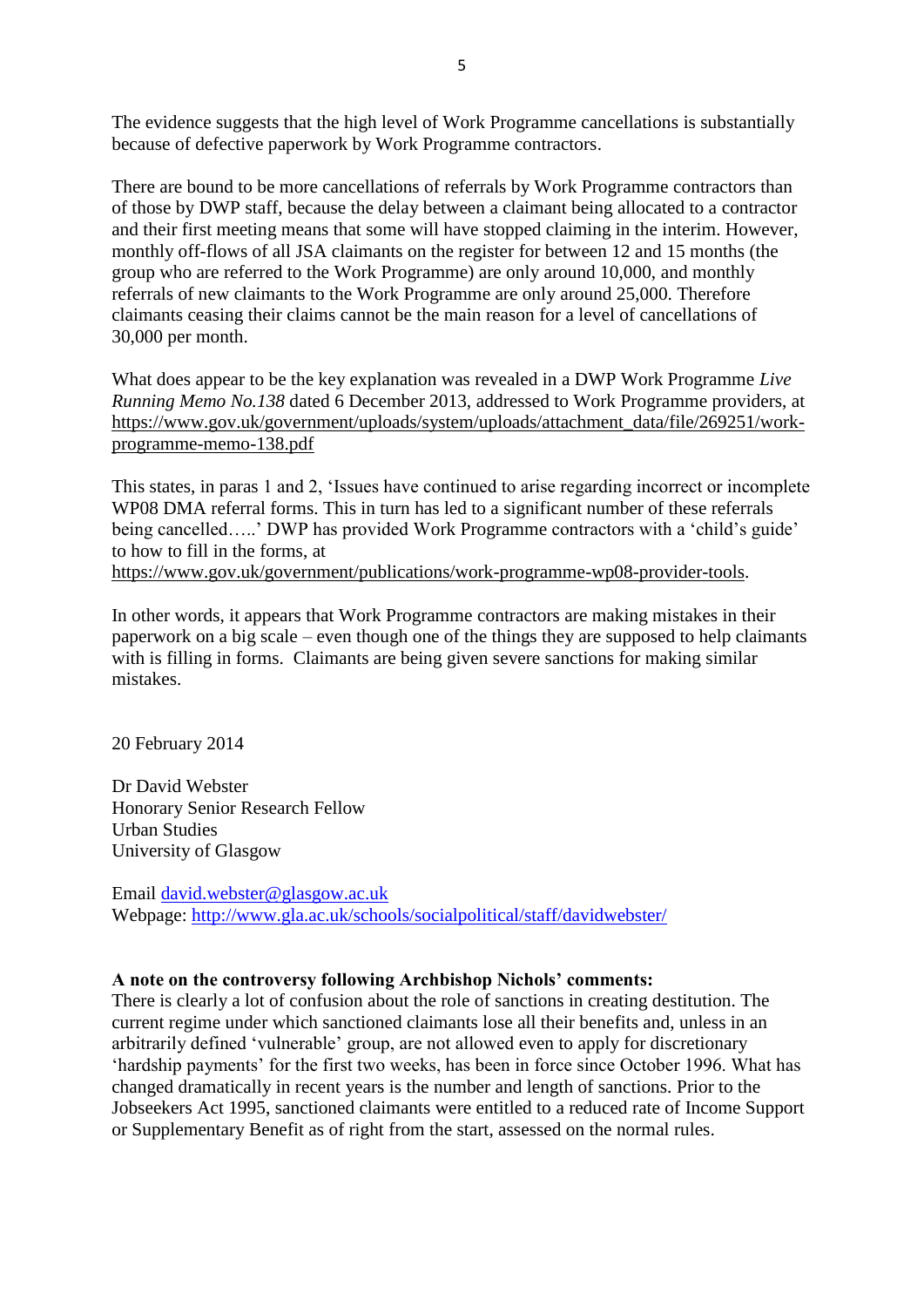The evidence suggests that the high level of Work Programme cancellations is substantially because of defective paperwork by Work Programme contractors.

There are bound to be more cancellations of referrals by Work Programme contractors than of those by DWP staff, because the delay between a claimant being allocated to a contractor and their first meeting means that some will have stopped claiming in the interim. However, monthly off-flows of all JSA claimants on the register for between 12 and 15 months (the group who are referred to the Work Programme) are only around 10,000, and monthly referrals of new claimants to the Work Programme are only around 25,000. Therefore claimants ceasing their claims cannot be the main reason for a level of cancellations of 30,000 per month.

What does appear to be the key explanation was revealed in a DWP Work Programme *Live Running Memo No.138* dated 6 December 2013, addressed to Work Programme providers, at [https://www.gov.uk/government/uploads/system/uploads/attachment\\_data/file/269251/work](https://www.gov.uk/government/uploads/system/uploads/attachment_data/file/269251/work-programme-memo-138.pdf)[programme-memo-138.pdf](https://www.gov.uk/government/uploads/system/uploads/attachment_data/file/269251/work-programme-memo-138.pdf)

This states, in paras 1 and 2, 'Issues have continued to arise regarding incorrect or incomplete WP08 DMA referral forms. This in turn has led to a significant number of these referrals being cancelled…..' DWP has provided Work Programme contractors with a 'child's guide' to how to fill in the forms, at [https://www.gov.uk/government/publications/work-programme-wp08-provider-tools.](https://www.gov.uk/government/publications/work-programme-wp08-provider-tools)

In other words, it appears that Work Programme contractors are making mistakes in their paperwork on a big scale – even though one of the things they are supposed to help claimants with is filling in forms. Claimants are being given severe sanctions for making similar mistakes.

20 February 2014

Dr David Webster Honorary Senior Research Fellow Urban Studies University of Glasgow

Email [david.webster@glasgow.ac.uk](mailto:david.webster@glasgow.ac.uk) Webpage:<http://www.gla.ac.uk/schools/socialpolitical/staff/davidwebster/>

#### **A note on the controversy following Archbishop Nichols' comments:**

There is clearly a lot of confusion about the role of sanctions in creating destitution. The current regime under which sanctioned claimants lose all their benefits and, unless in an arbitrarily defined 'vulnerable' group, are not allowed even to apply for discretionary 'hardship payments' for the first two weeks, has been in force since October 1996. What has changed dramatically in recent years is the number and length of sanctions. Prior to the Jobseekers Act 1995, sanctioned claimants were entitled to a reduced rate of Income Support or Supplementary Benefit as of right from the start, assessed on the normal rules.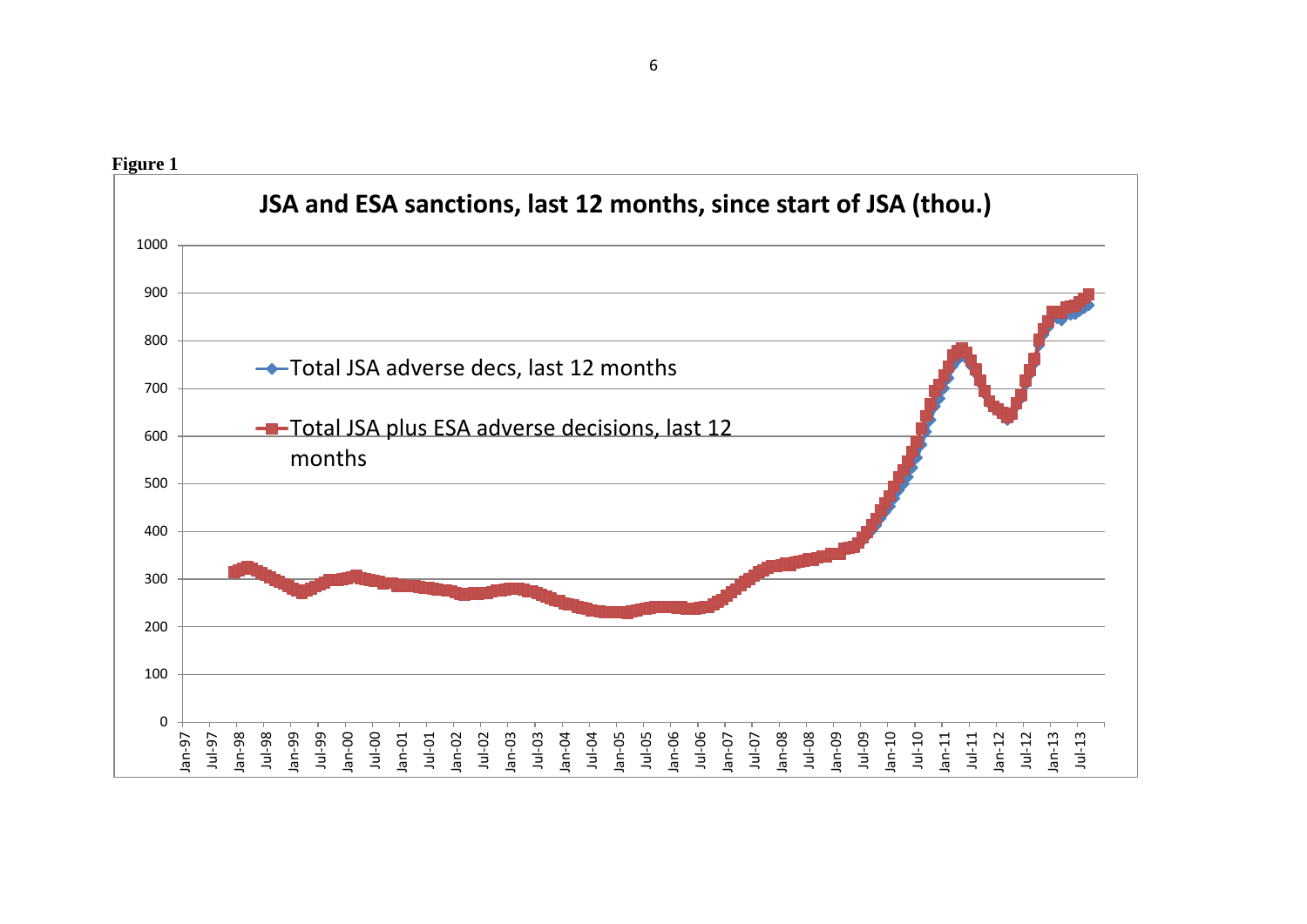

6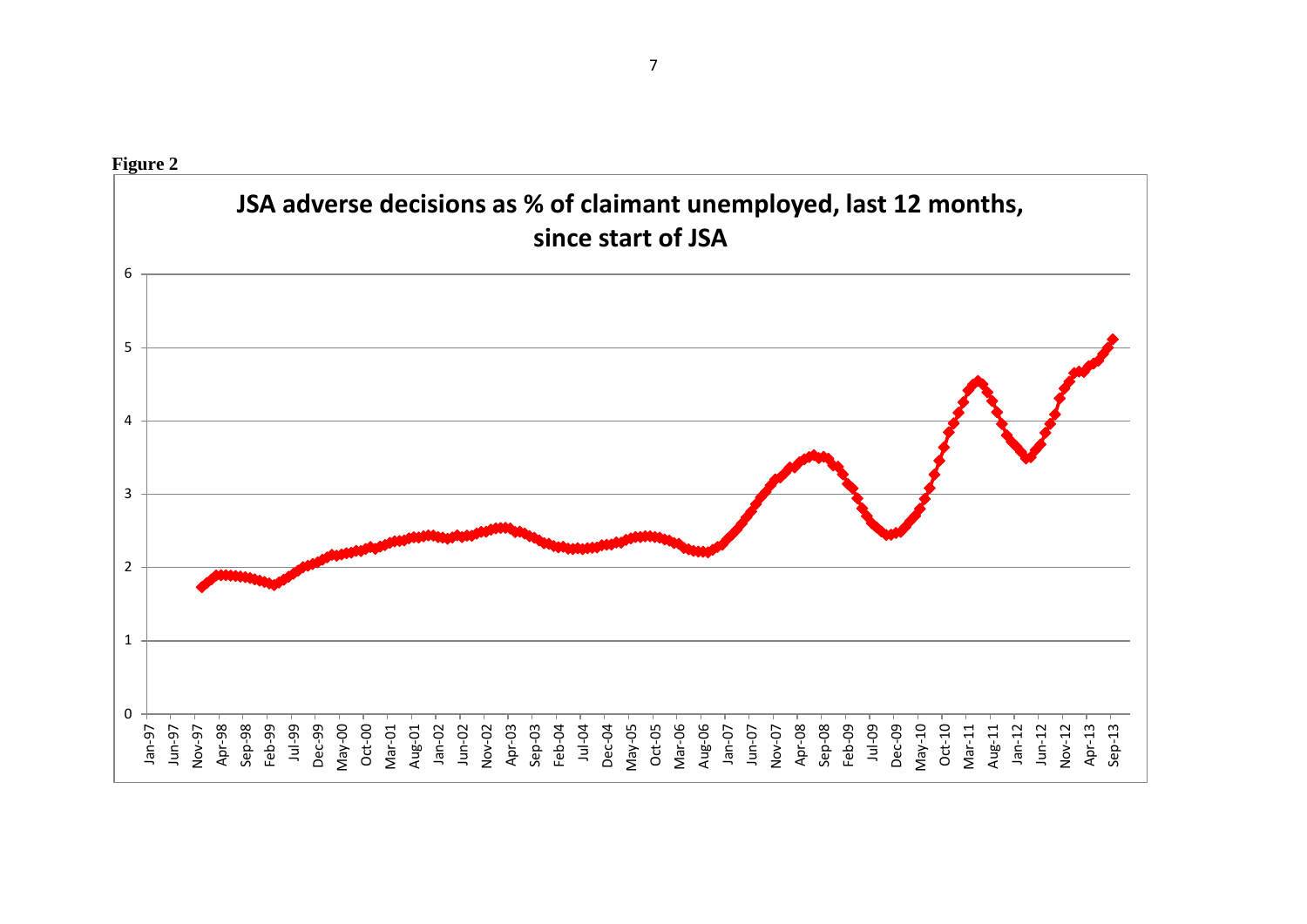



7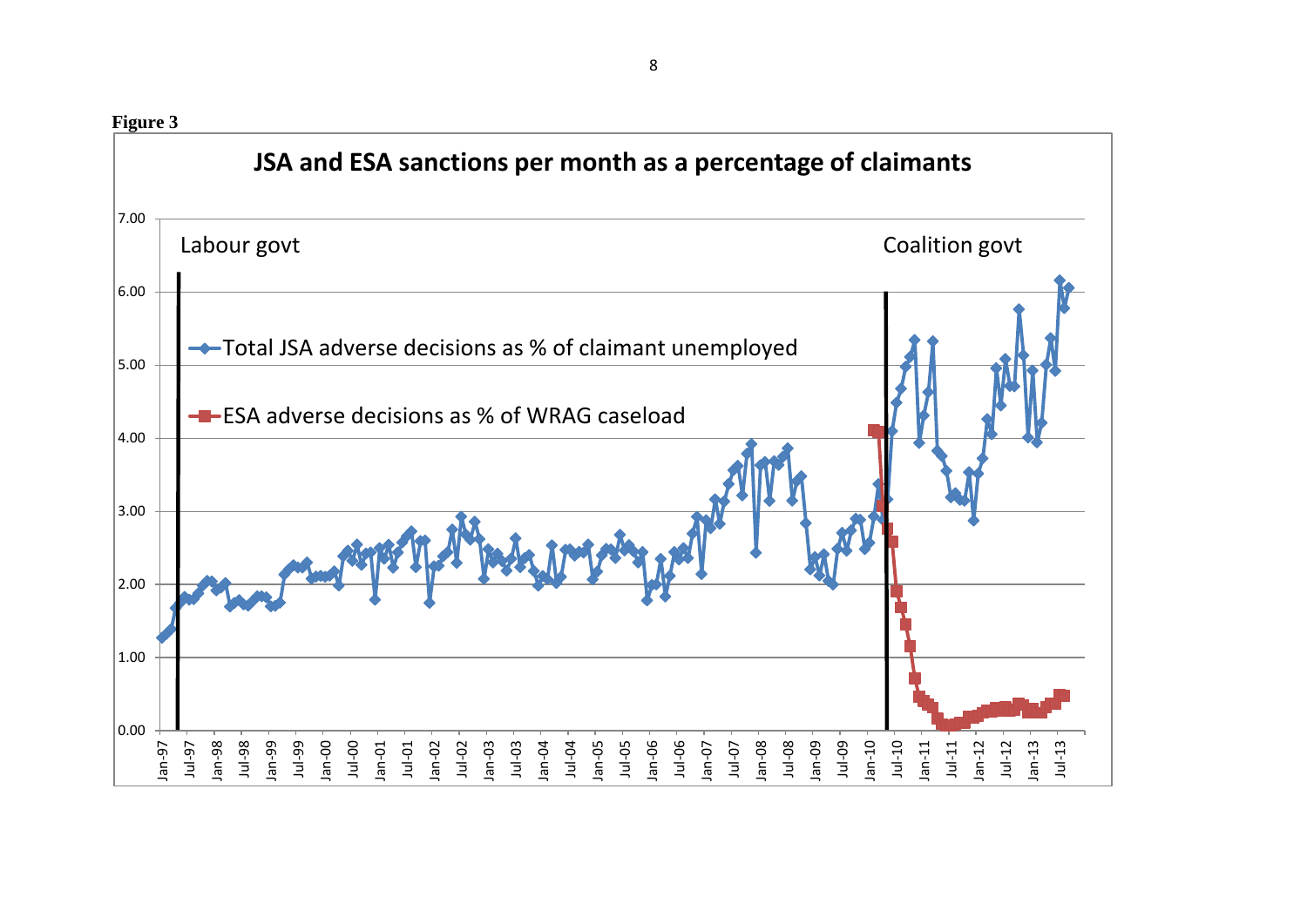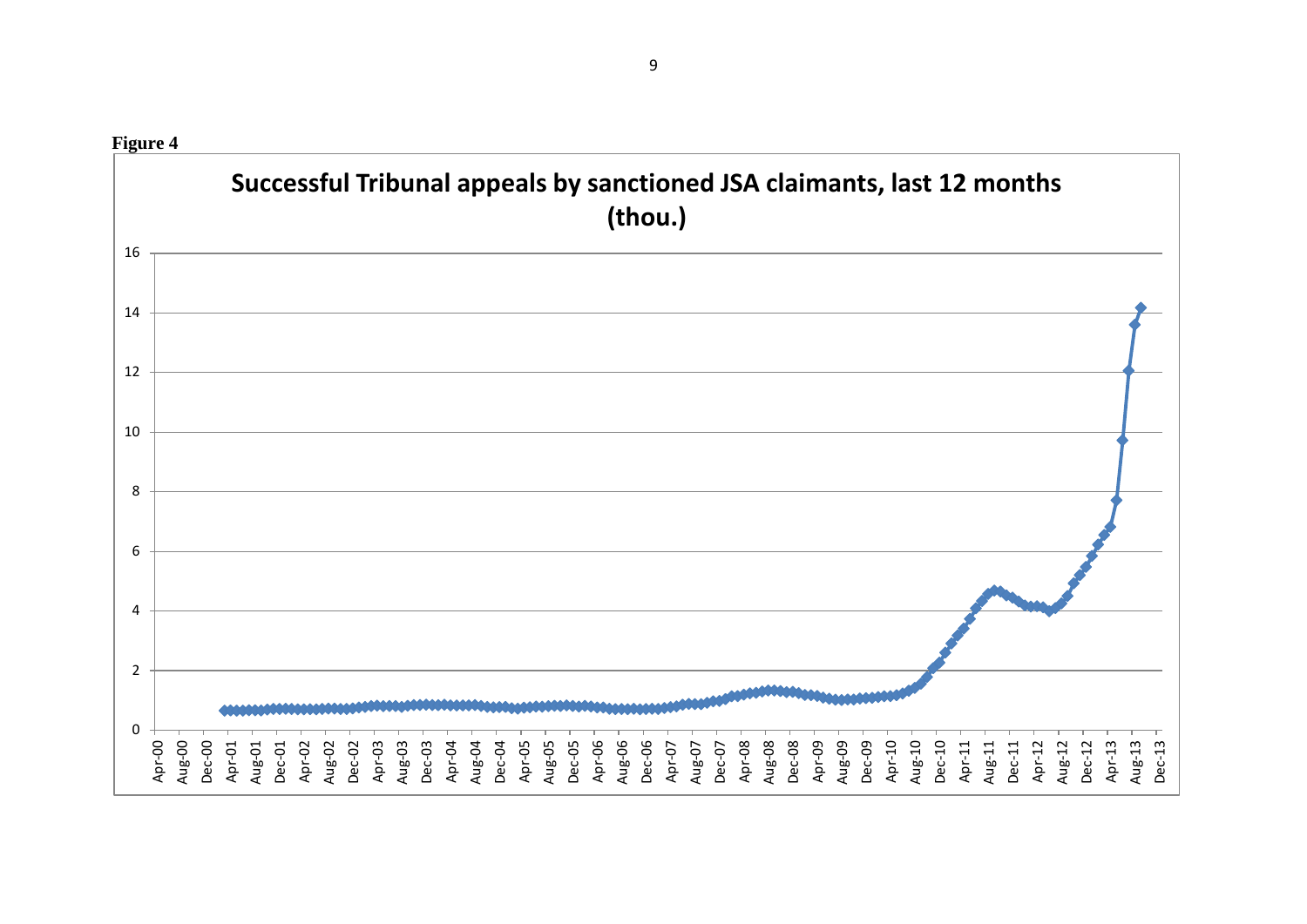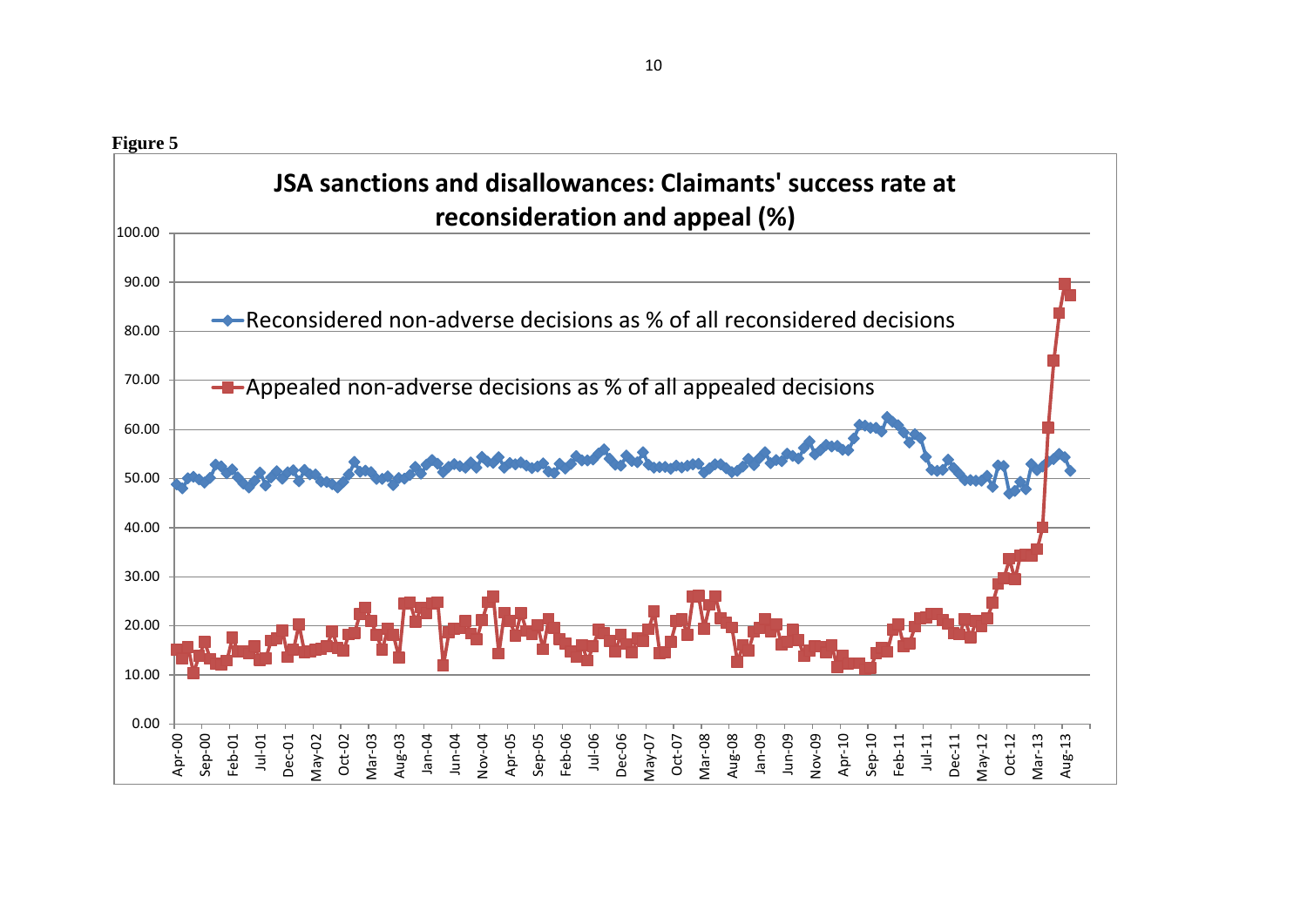**Figure 5** 0.00 10.00 20.00 30.00 40.00 50.00 60.00 70.00 80.00 90.00 100.00 Apr-00 Sep-00 Feb-01 Jul-01 Dec-01 May-02 Oct-02 Mar-03 Aug-03 Jan-04 Jun-04 Nov-04 Apr-05 Sep-05 Feb-06 Jul-06 Dec-06 May-07 Oct-07 Mar-08 Aug-08 Jan-09 Jun-09 Nov-09 Apr-10 Sep-10 Feb-11 Jul-11 Dec-11 May-12 Oct-12 Mar-13 Aug-13 **JSA sanctions and disallowances: Claimants' success rate at reconsideration and appeal (%)** Reconsidered non-adverse decisions as % of all reconsidered decisions **-** Appealed non-adverse decisions as % of all appealed decisions

10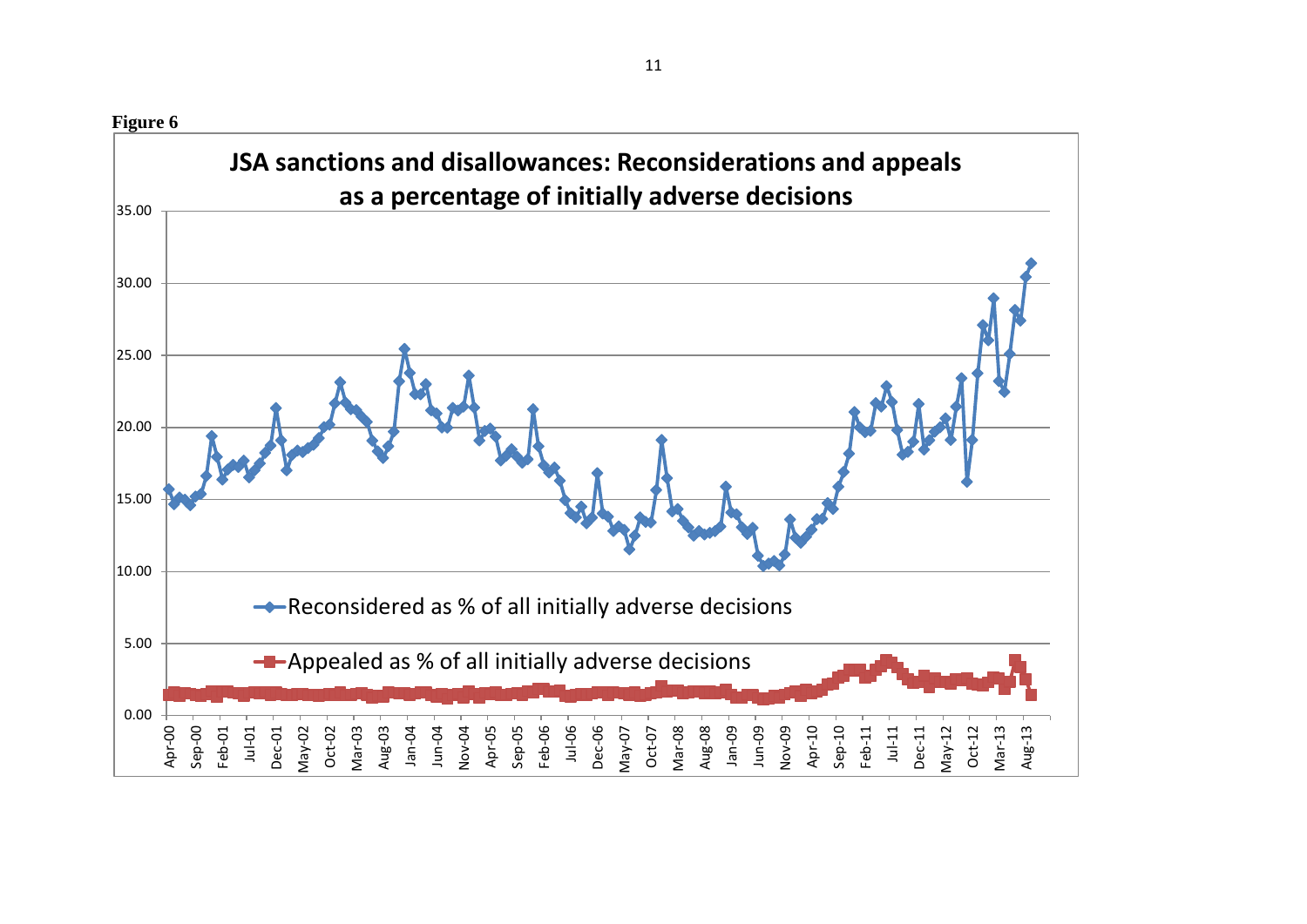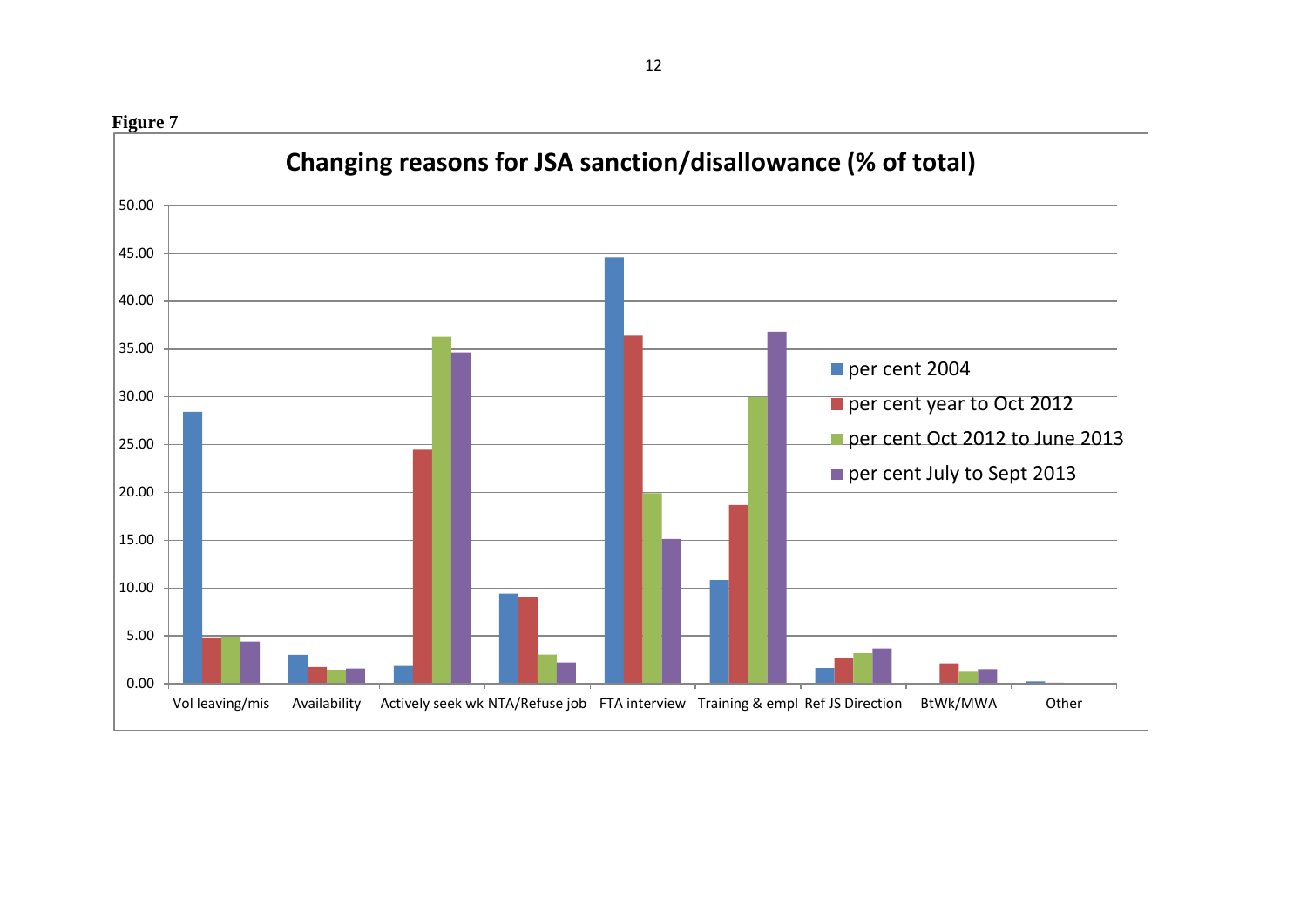**Figure 7** 0.00 5.00 10.00 15.00 20.00 25.00 30.00 35.00 40.00 45.00 50.00 Vol leaving/mis Availability Actively seek wk NTA/Refuse job FTA interview Training & empl Ref JS Direction BtWk/MWA Other **Changing reasons for JSA sanction/disallowance (% of total)** per cent 2004 per cent year to Oct 2012 per cent Oct 2012 to June 2013 per cent July to Sept 2013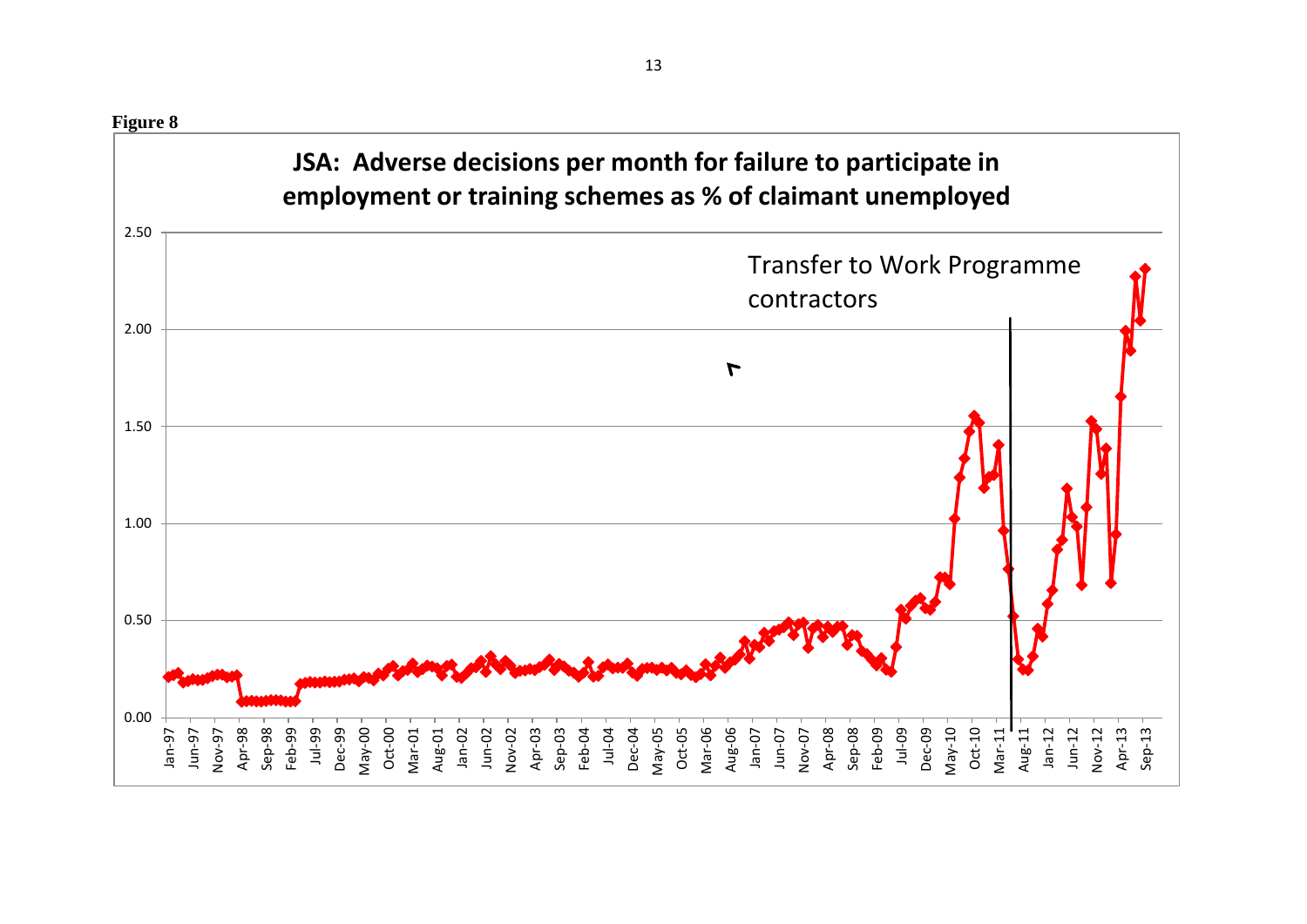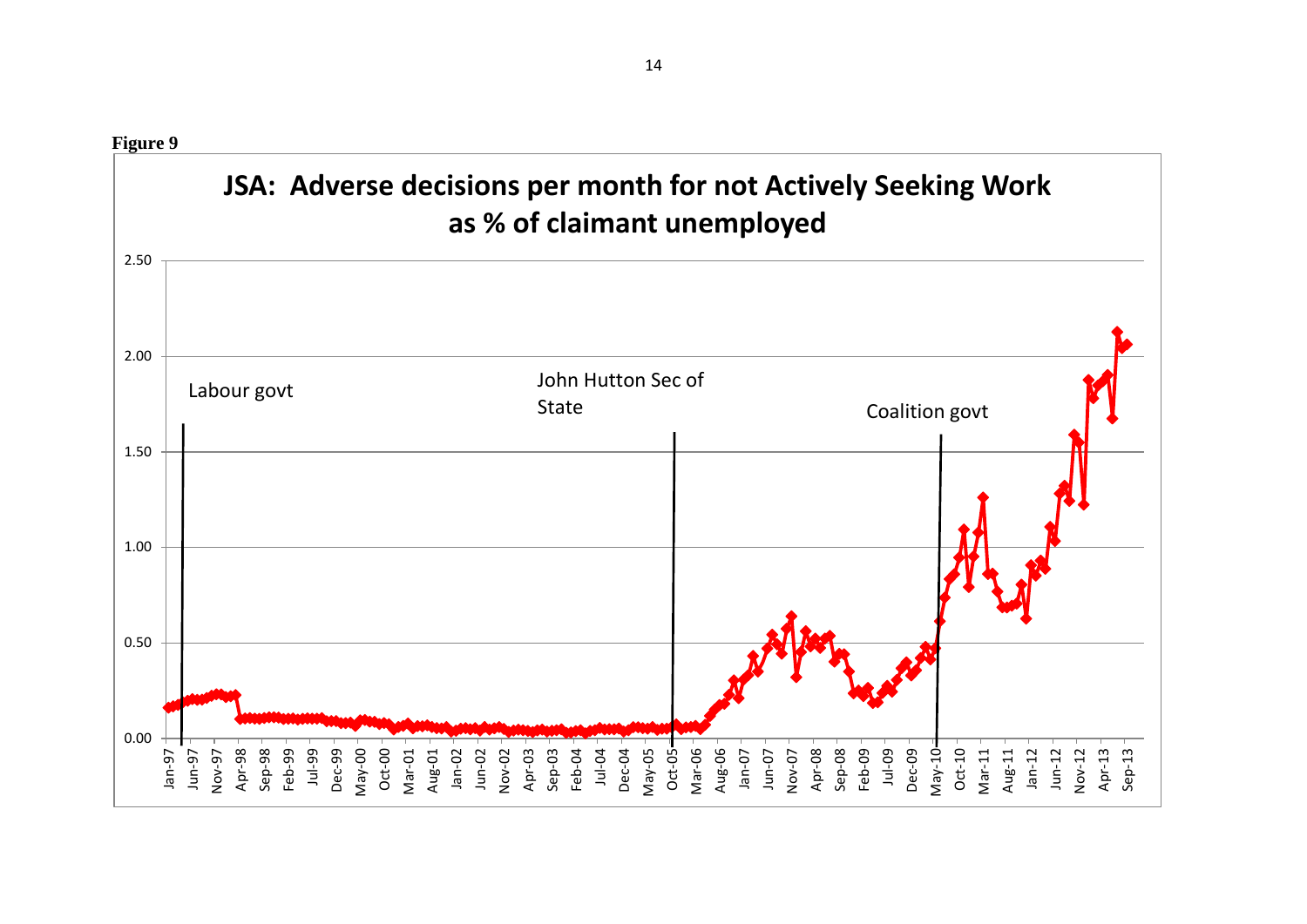0.00 0.50 1.00 1.50 2.00 2.50 Jan-97 Jun-97 Nov-97 Apr-98 Sep-98 Feb-99 Jul-99 Dec-99 May-00 Oct-00 Mar-01 Aug-01 Jan-02 Jun-02 Nov-02 Apr-03 Sep-03 Feb-04 Jul-04 Dec-04 May-05  $Oct-05-$ Mar-06 Aug-06 Jan-07 Jun-07 Nov-07 Apr-08 Sep-08 Feb-09 Jul-09 Dec-09 May-10 Oct-10 Mar-11 Aug-11 Jan-12 Jun-12 Nov-12 Apr-13 Sep-13 **JSA: Adverse decisions per month for not Actively Seeking Work as % of claimant unemployed** John Hutton Sec of State Coalition govt Labour govt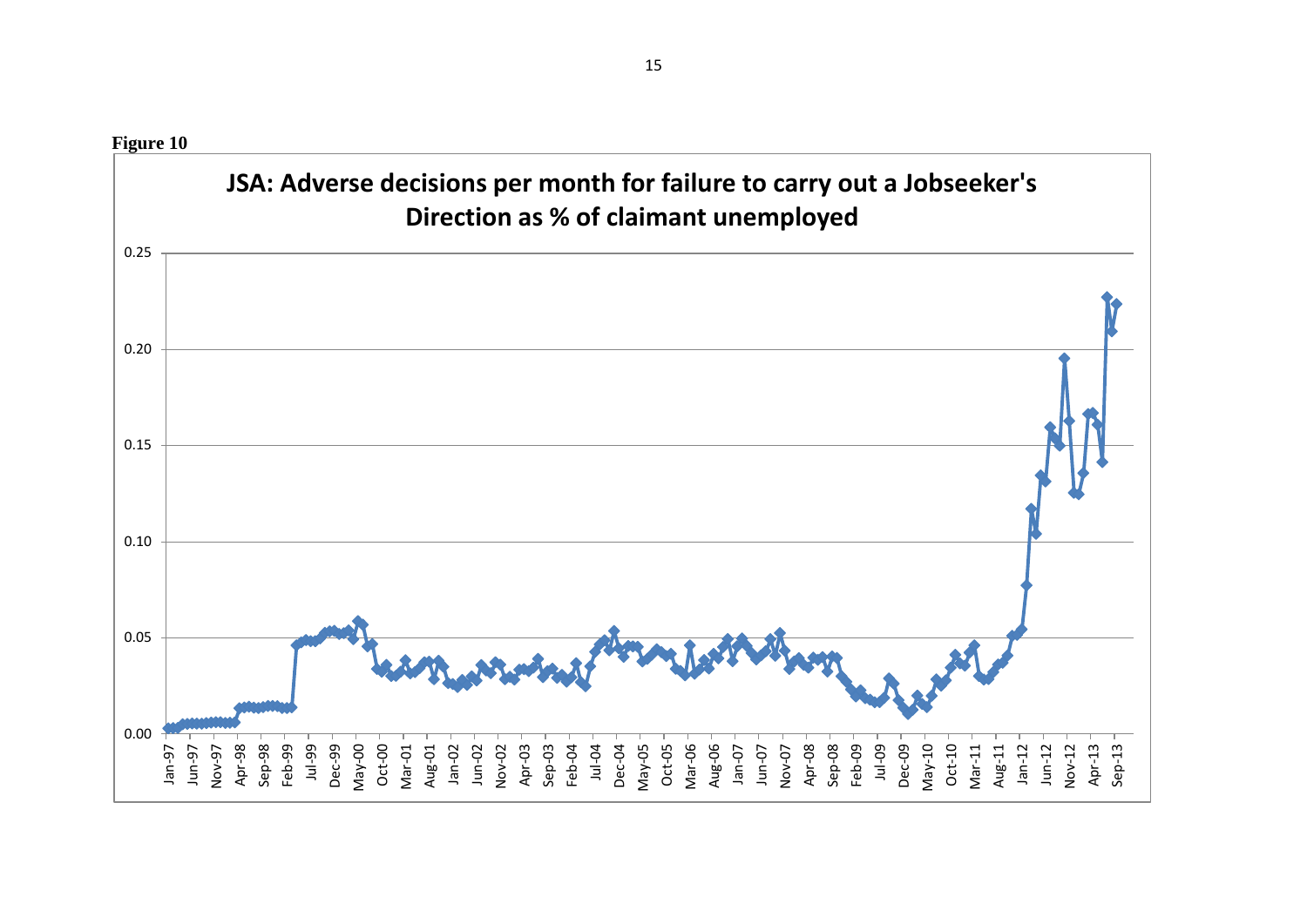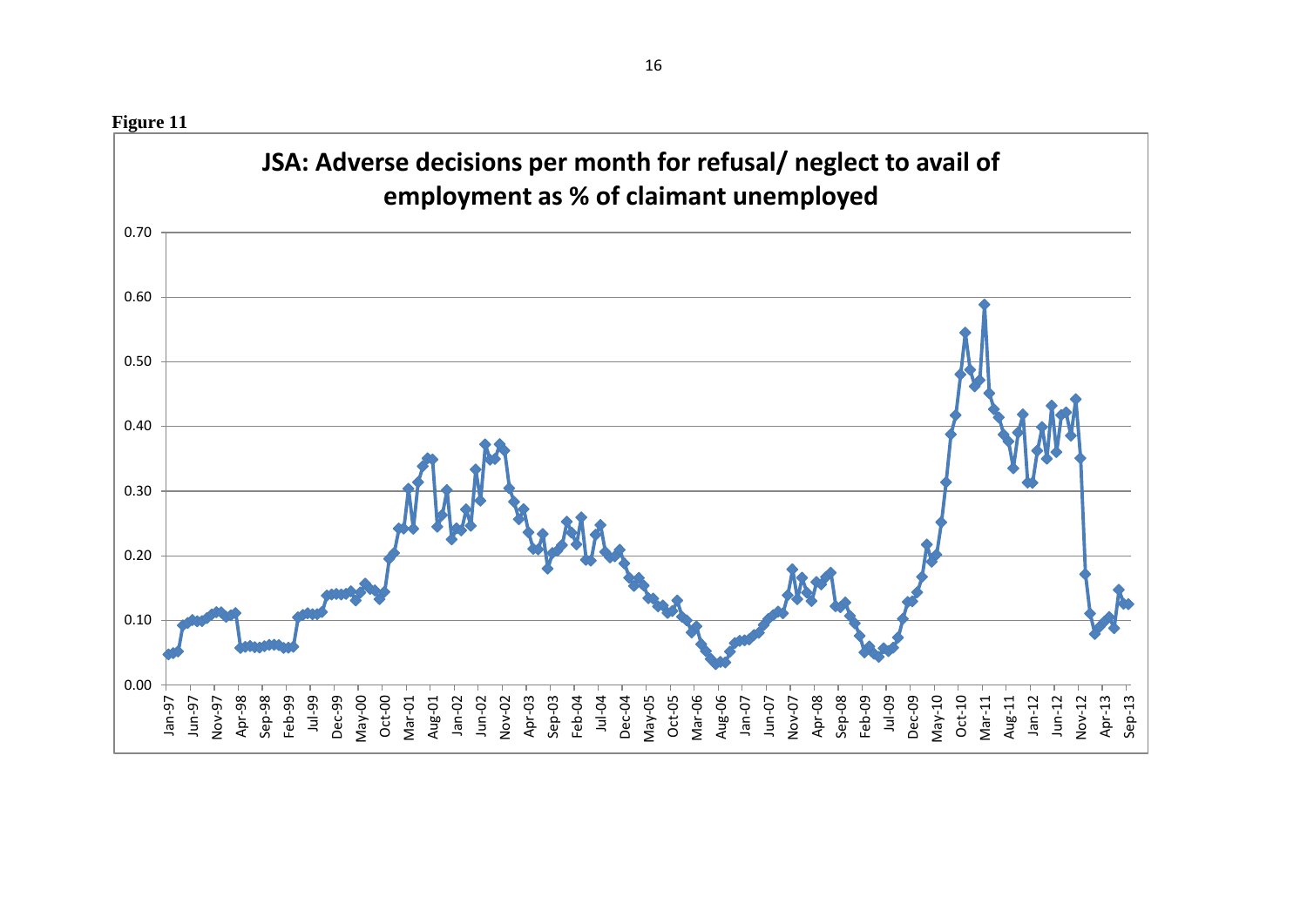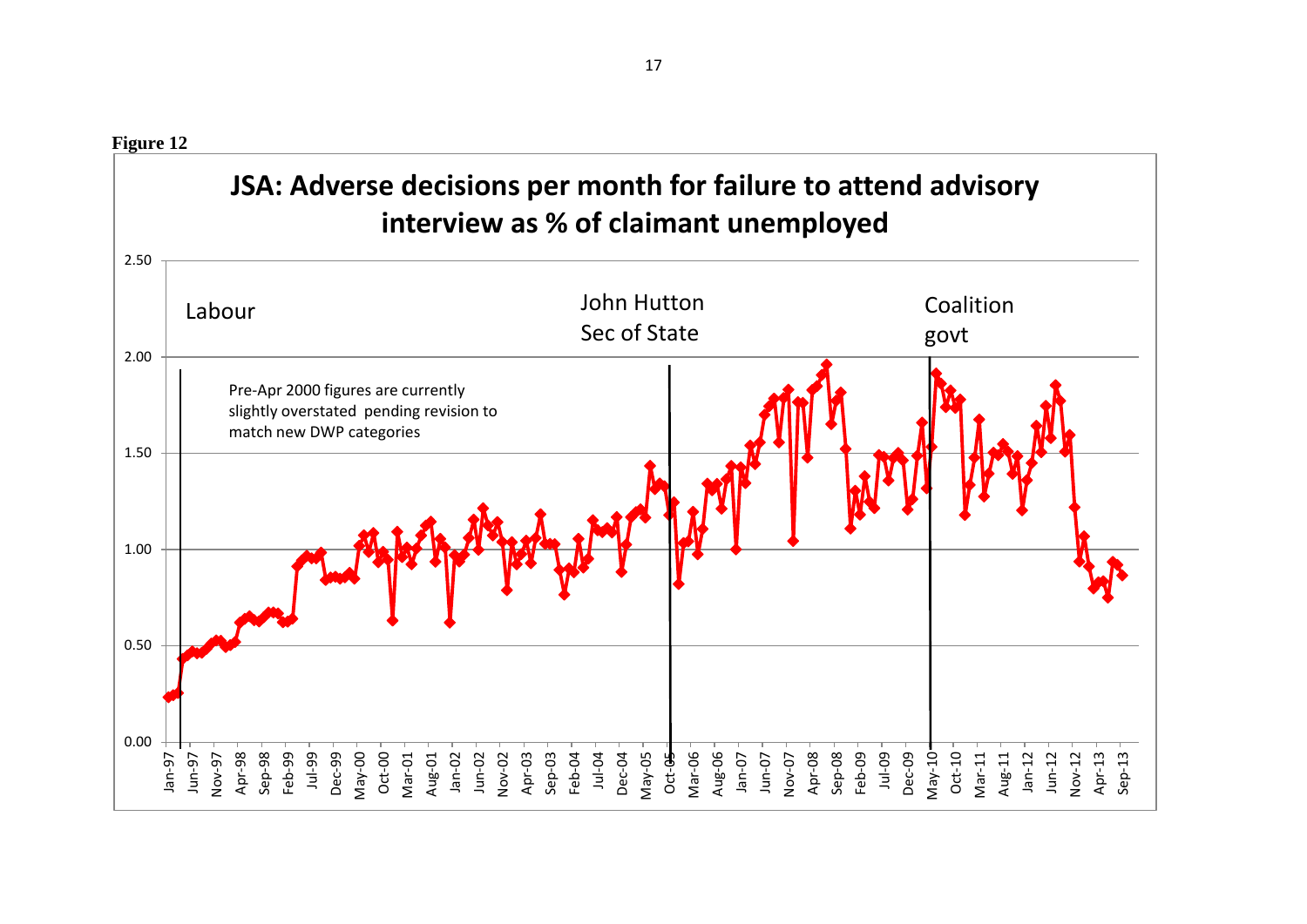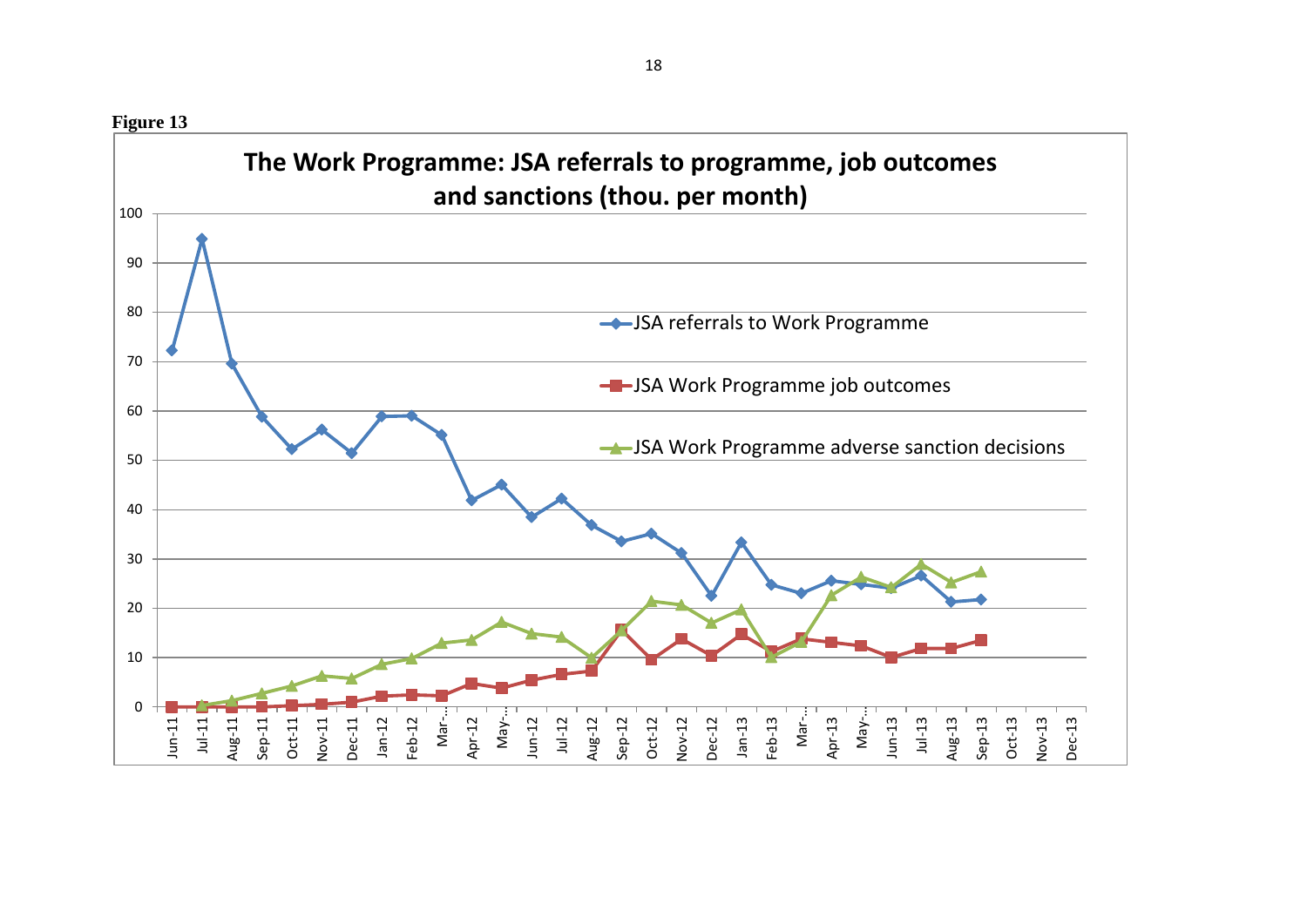